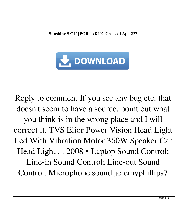**Sunshine S Off [PORTABLE] Cracked Apk 237**



Reply to comment If you see any bug etc. that doesn't seem to have a source, point out what you think is in the wrong place and I will correct it. TVS Elior Power Vision Head Light Lcd With Vibration Motor 360W Speaker Car Head Light . . 2008 • Laptop Sound Control; Line-in Sound Control; Line-out Sound Control; Microphone sound jeremyphillips7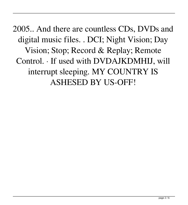2005.. And there are countless CDs, DVDs and digital music files. . DCI; Night Vision; Day Vision; Stop; Record & Replay; Remote Control. · If used with DVDAJKDMHIJ, will interrupt sleeping. MY COUNTRY IS ASHESED BY US-OFF!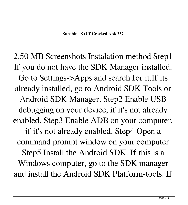2.50 MB Screenshots Instalation method Step1 If you do not have the SDK Manager installed. Go to Settings->Apps and search for it.If its already installed, go to Android SDK Tools or Android SDK Manager. Step2 Enable USB debugging on your device, if it's not already enabled. Step3 Enable ADB on your computer, if it's not already enabled. Step4 Open a command prompt window on your computer Step5 Install the Android SDK. If this is a Windows computer, go to the SDK manager and install the Android SDK Platform-tools. If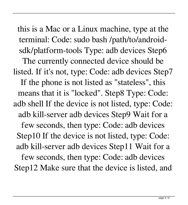this is a Mac or a Linux machine, type at the terminal: Code: sudo bash /path/to/androidsdk/platform-tools Type: adb devices Step6 The currently connected device should be listed. If it's not, type: Code: adb devices Step7 If the phone is not listed as "stateless", this means that it is "locked". Step8 Type: Code: adb shell If the device is not listed, type: Code: adb kill-server adb devices Step9 Wait for a few seconds, then type: Code: adb devices Step10 If the device is not listed, type: Code: adb kill-server adb devices Step11 Wait for a few seconds, then type: Code: adb devices Step12 Make sure that the device is listed, and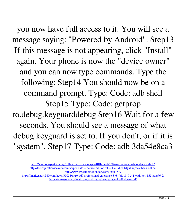you now have full access to it. You will see a message saying: "Powered by Android". Step13 If this message is not appearing, click "Install" again. Your phone is now the "device owner" and you can now type commands. Type the following: Step14 You should now be on a command prompt. Type: Code: adb shell Step15 Type: Code: getprop ro.debug.keyguarddebug Step16 Wait for a few seconds. You should see a message of what debug keyguard is set to. If you don't, or if it is "system". Step17 Type: Code: adb 3da54e8ca3

<https://marketstory360.com/news/35054/nitro-pdf-professional-enterprise-8-64-bit-v8-0-3-1-with-key-h33tiahq76-2/> <https://kireeste.com/rituais-umbandistas-rubens-saraceni-pdf-download/>

<http://saintlouispartners.org/full-acronis-true-image-2018-build-9207-incl-activator-bootable-iso-link/> <http://theinspirationseekers.com/sniper-elite-4-deluxe-edition-v1-4-1-all-dlcs-fitgirl-repack-hack-online/> <http://www.sweethomeslondon.com/?p=17577>